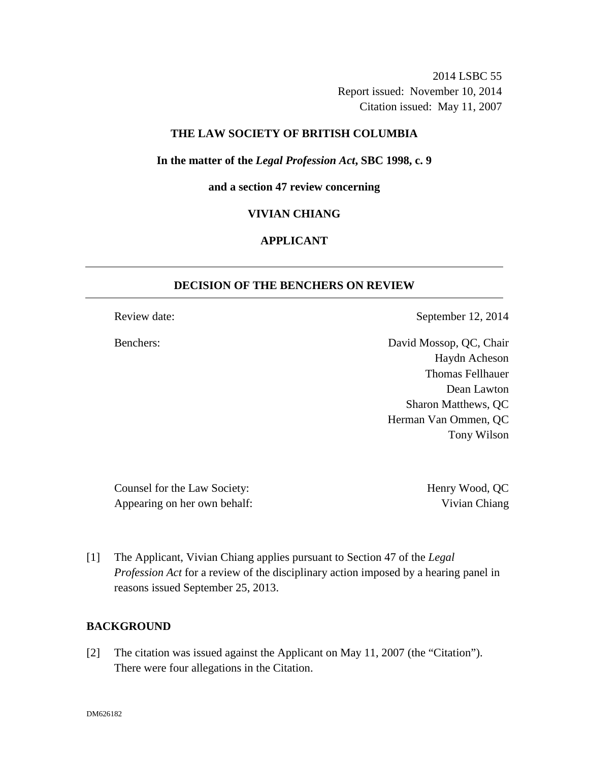2014 LSBC 55 Report issued: November 10, 2014 Citation issued: May 11, 2007

## **THE LAW SOCIETY OF BRITISH COLUMBIA**

**In the matter of the** *Legal Profession Act***, SBC 1998, c. 9** 

**and a section 47 review concerning** 

#### **VIVIAN CHIANG**

# **APPLICANT**

## **DECISION OF THE BENCHERS ON REVIEW**

Review date: September 12, 2014

Benchers: David Mossop, QC, Chair Haydn Acheson Thomas Fellhauer Dean Lawton Sharon Matthews, QC Herman Van Ommen, QC Tony Wilson

Counsel for the Law Society: Henry Wood, QC Appearing on her own behalf: Vivian Chiang

[1] The Applicant, Vivian Chiang applies pursuant to Section 47 of the *Legal Profession Act* for a review of the disciplinary action imposed by a hearing panel in reasons issued September 25, 2013.

## **BACKGROUND**

[2] The citation was issued against the Applicant on May 11, 2007 (the "Citation"). There were four allegations in the Citation.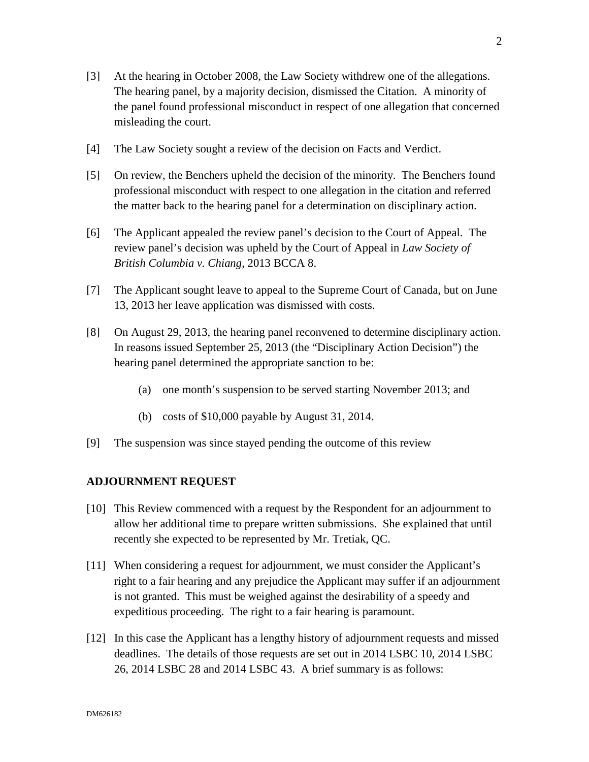- [3] At the hearing in October 2008, the Law Society withdrew one of the allegations. The hearing panel, by a majority decision, dismissed the Citation. A minority of the panel found professional misconduct in respect of one allegation that concerned misleading the court.
- [4] The Law Society sought a review of the decision on Facts and Verdict.
- [5] On review, the Benchers upheld the decision of the minority. The Benchers found professional misconduct with respect to one allegation in the citation and referred the matter back to the hearing panel for a determination on disciplinary action.
- [6] The Applicant appealed the review panel's decision to the Court of Appeal. The review panel's decision was upheld by the Court of Appeal in *Law Society of British Columbia v. Chiang*, 2013 BCCA 8.
- [7] The Applicant sought leave to appeal to the Supreme Court of Canada, but on June 13, 2013 her leave application was dismissed with costs.
- [8] On August 29, 2013, the hearing panel reconvened to determine disciplinary action. In reasons issued September 25, 2013 (the "Disciplinary Action Decision") the hearing panel determined the appropriate sanction to be:
	- (a) one month's suspension to be served starting November 2013; and
	- (b) costs of \$10,000 payable by August 31, 2014.
- [9] The suspension was since stayed pending the outcome of this review

## **ADJOURNMENT REQUEST**

- [10] This Review commenced with a request by the Respondent for an adjournment to allow her additional time to prepare written submissions. She explained that until recently she expected to be represented by Mr. Tretiak, QC.
- [11] When considering a request for adjournment, we must consider the Applicant's right to a fair hearing and any prejudice the Applicant may suffer if an adjournment is not granted. This must be weighed against the desirability of a speedy and expeditious proceeding. The right to a fair hearing is paramount.
- [12] In this case the Applicant has a lengthy history of adjournment requests and missed deadlines. The details of those requests are set out in 2014 LSBC 10, 2014 LSBC 26, 2014 LSBC 28 and 2014 LSBC 43. A brief summary is as follows: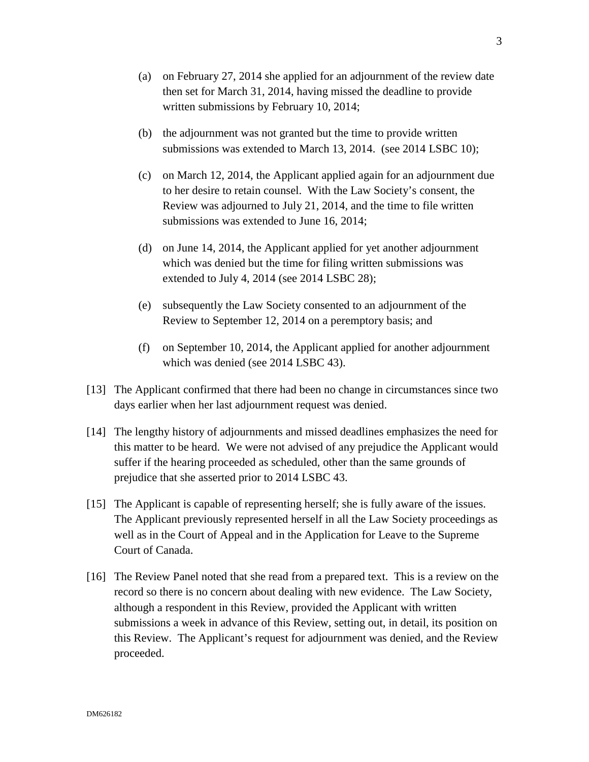- (a) on February 27, 2014 she applied for an adjournment of the review date then set for March 31, 2014, having missed the deadline to provide written submissions by February 10, 2014;
- (b) the adjournment was not granted but the time to provide written submissions was extended to March 13, 2014. (see 2014 LSBC 10);
- (c) on March 12, 2014, the Applicant applied again for an adjournment due to her desire to retain counsel. With the Law Society's consent, the Review was adjourned to July 21, 2014, and the time to file written submissions was extended to June 16, 2014;
- (d) on June 14, 2014, the Applicant applied for yet another adjournment which was denied but the time for filing written submissions was extended to July 4, 2014 (see 2014 LSBC 28);
- (e) subsequently the Law Society consented to an adjournment of the Review to September 12, 2014 on a peremptory basis; and
- (f) on September 10, 2014, the Applicant applied for another adjournment which was denied (see 2014 LSBC 43).
- [13] The Applicant confirmed that there had been no change in circumstances since two days earlier when her last adjournment request was denied.
- [14] The lengthy history of adjournments and missed deadlines emphasizes the need for this matter to be heard. We were not advised of any prejudice the Applicant would suffer if the hearing proceeded as scheduled, other than the same grounds of prejudice that she asserted prior to 2014 LSBC 43.
- [15] The Applicant is capable of representing herself; she is fully aware of the issues. The Applicant previously represented herself in all the Law Society proceedings as well as in the Court of Appeal and in the Application for Leave to the Supreme Court of Canada.
- [16] The Review Panel noted that she read from a prepared text. This is a review on the record so there is no concern about dealing with new evidence. The Law Society, although a respondent in this Review, provided the Applicant with written submissions a week in advance of this Review, setting out, in detail, its position on this Review. The Applicant's request for adjournment was denied, and the Review proceeded.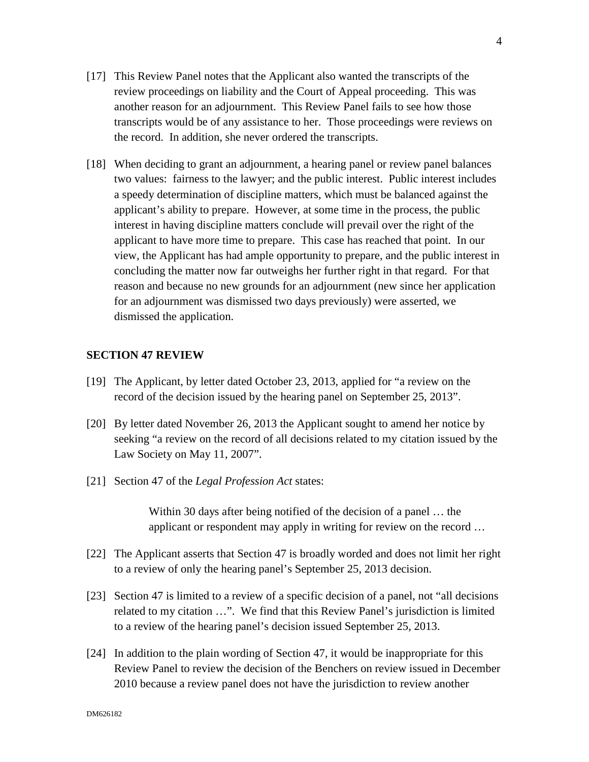- [17] This Review Panel notes that the Applicant also wanted the transcripts of the review proceedings on liability and the Court of Appeal proceeding. This was another reason for an adjournment. This Review Panel fails to see how those transcripts would be of any assistance to her. Those proceedings were reviews on the record. In addition, she never ordered the transcripts.
- [18] When deciding to grant an adjournment, a hearing panel or review panel balances two values: fairness to the lawyer; and the public interest. Public interest includes a speedy determination of discipline matters, which must be balanced against the applicant's ability to prepare. However, at some time in the process, the public interest in having discipline matters conclude will prevail over the right of the applicant to have more time to prepare. This case has reached that point. In our view, the Applicant has had ample opportunity to prepare, and the public interest in concluding the matter now far outweighs her further right in that regard. For that reason and because no new grounds for an adjournment (new since her application for an adjournment was dismissed two days previously) were asserted, we dismissed the application.

### **SECTION 47 REVIEW**

- [19] The Applicant, by letter dated October 23, 2013, applied for "a review on the record of the decision issued by the hearing panel on September 25, 2013".
- [20] By letter dated November 26, 2013 the Applicant sought to amend her notice by seeking "a review on the record of all decisions related to my citation issued by the Law Society on May 11, 2007".
- [21] Section 47 of the *Legal Profession Act* states:

Within 30 days after being notified of the decision of a panel … the applicant or respondent may apply in writing for review on the record …

- [22] The Applicant asserts that Section 47 is broadly worded and does not limit her right to a review of only the hearing panel's September 25, 2013 decision.
- [23] Section 47 is limited to a review of a specific decision of a panel, not "all decisions related to my citation …". We find that this Review Panel's jurisdiction is limited to a review of the hearing panel's decision issued September 25, 2013.
- [24] In addition to the plain wording of Section 47, it would be inappropriate for this Review Panel to review the decision of the Benchers on review issued in December 2010 because a review panel does not have the jurisdiction to review another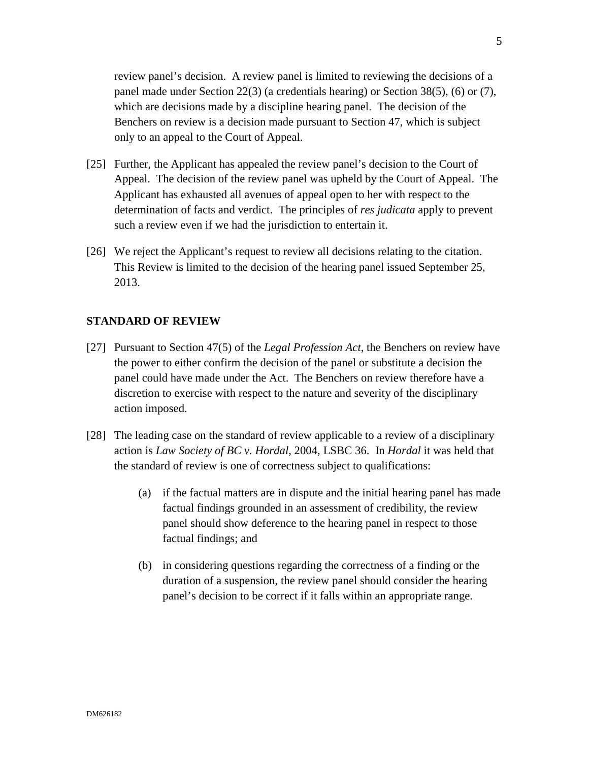review panel's decision. A review panel is limited to reviewing the decisions of a panel made under Section 22(3) (a credentials hearing) or Section 38(5), (6) or (7), which are decisions made by a discipline hearing panel. The decision of the Benchers on review is a decision made pursuant to Section 47, which is subject only to an appeal to the Court of Appeal.

- [25] Further, the Applicant has appealed the review panel's decision to the Court of Appeal. The decision of the review panel was upheld by the Court of Appeal. The Applicant has exhausted all avenues of appeal open to her with respect to the determination of facts and verdict. The principles of *res judicata* apply to prevent such a review even if we had the jurisdiction to entertain it.
- [26] We reject the Applicant's request to review all decisions relating to the citation. This Review is limited to the decision of the hearing panel issued September 25, 2013.

## **STANDARD OF REVIEW**

- [27] Pursuant to Section 47(5) of the *Legal Profession Act*, the Benchers on review have the power to either confirm the decision of the panel or substitute a decision the panel could have made under the Act. The Benchers on review therefore have a discretion to exercise with respect to the nature and severity of the disciplinary action imposed.
- [28] The leading case on the standard of review applicable to a review of a disciplinary action is *Law Society of BC v. Hordal*, 2004, LSBC 36. In *Hordal* it was held that the standard of review is one of correctness subject to qualifications:
	- (a) if the factual matters are in dispute and the initial hearing panel has made factual findings grounded in an assessment of credibility, the review panel should show deference to the hearing panel in respect to those factual findings; and
	- (b) in considering questions regarding the correctness of a finding or the duration of a suspension, the review panel should consider the hearing panel's decision to be correct if it falls within an appropriate range.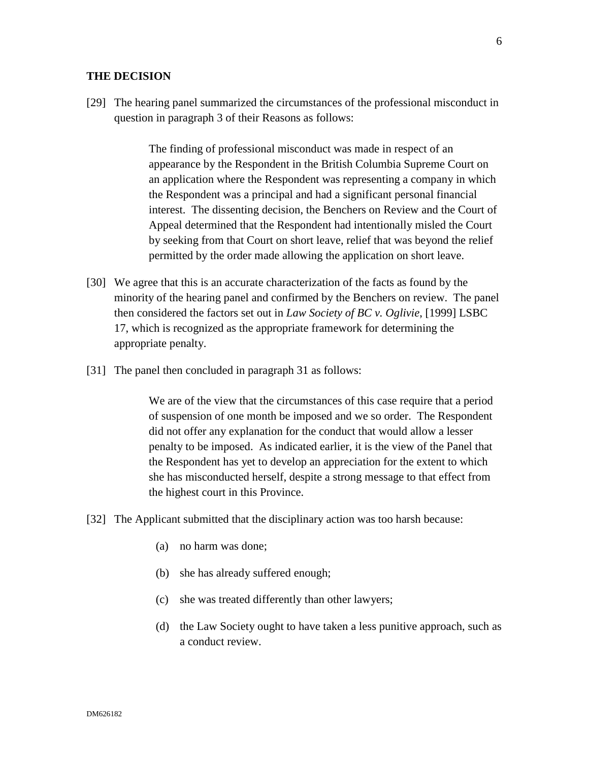#### **THE DECISION**

[29] The hearing panel summarized the circumstances of the professional misconduct in question in paragraph 3 of their Reasons as follows:

> The finding of professional misconduct was made in respect of an appearance by the Respondent in the British Columbia Supreme Court on an application where the Respondent was representing a company in which the Respondent was a principal and had a significant personal financial interest. The dissenting decision, the Benchers on Review and the Court of Appeal determined that the Respondent had intentionally misled the Court by seeking from that Court on short leave, relief that was beyond the relief permitted by the order made allowing the application on short leave.

- [30] We agree that this is an accurate characterization of the facts as found by the minority of the hearing panel and confirmed by the Benchers on review. The panel then considered the factors set out in *Law Society of BC v. Oglivie*, [1999] LSBC 17, which is recognized as the appropriate framework for determining the appropriate penalty.
- [31] The panel then concluded in paragraph 31 as follows:

We are of the view that the circumstances of this case require that a period of suspension of one month be imposed and we so order. The Respondent did not offer any explanation for the conduct that would allow a lesser penalty to be imposed. As indicated earlier, it is the view of the Panel that the Respondent has yet to develop an appreciation for the extent to which she has misconducted herself, despite a strong message to that effect from the highest court in this Province.

- [32] The Applicant submitted that the disciplinary action was too harsh because:
	- (a) no harm was done;
	- (b) she has already suffered enough;
	- (c) she was treated differently than other lawyers;
	- (d) the Law Society ought to have taken a less punitive approach, such as a conduct review.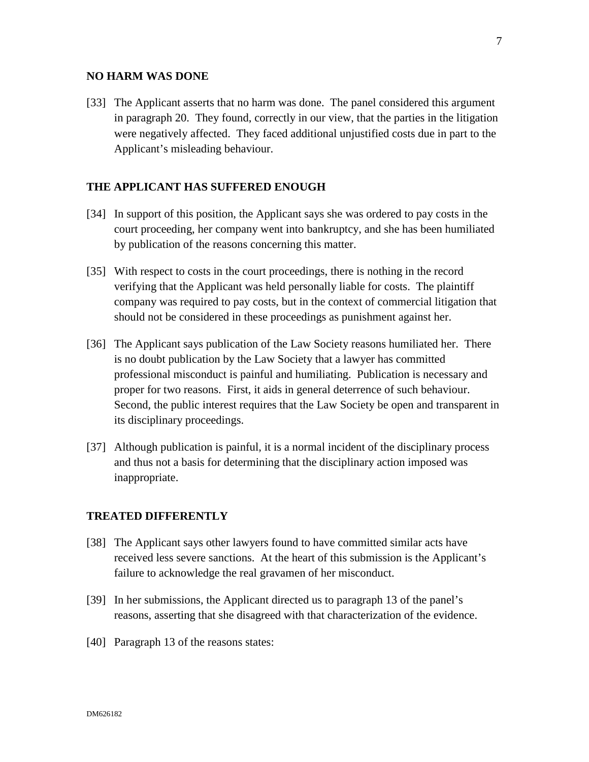#### **NO HARM WAS DONE**

[33] The Applicant asserts that no harm was done. The panel considered this argument in paragraph 20. They found, correctly in our view, that the parties in the litigation were negatively affected. They faced additional unjustified costs due in part to the Applicant's misleading behaviour.

# **THE APPLICANT HAS SUFFERED ENOUGH**

- [34] In support of this position, the Applicant says she was ordered to pay costs in the court proceeding, her company went into bankruptcy, and she has been humiliated by publication of the reasons concerning this matter.
- [35] With respect to costs in the court proceedings, there is nothing in the record verifying that the Applicant was held personally liable for costs. The plaintiff company was required to pay costs, but in the context of commercial litigation that should not be considered in these proceedings as punishment against her.
- [36] The Applicant says publication of the Law Society reasons humiliated her. There is no doubt publication by the Law Society that a lawyer has committed professional misconduct is painful and humiliating. Publication is necessary and proper for two reasons. First, it aids in general deterrence of such behaviour. Second, the public interest requires that the Law Society be open and transparent in its disciplinary proceedings.
- [37] Although publication is painful, it is a normal incident of the disciplinary process and thus not a basis for determining that the disciplinary action imposed was inappropriate.

### **TREATED DIFFERENTLY**

- [38] The Applicant says other lawyers found to have committed similar acts have received less severe sanctions. At the heart of this submission is the Applicant's failure to acknowledge the real gravamen of her misconduct.
- [39] In her submissions, the Applicant directed us to paragraph 13 of the panel's reasons, asserting that she disagreed with that characterization of the evidence.
- [40] Paragraph 13 of the reasons states: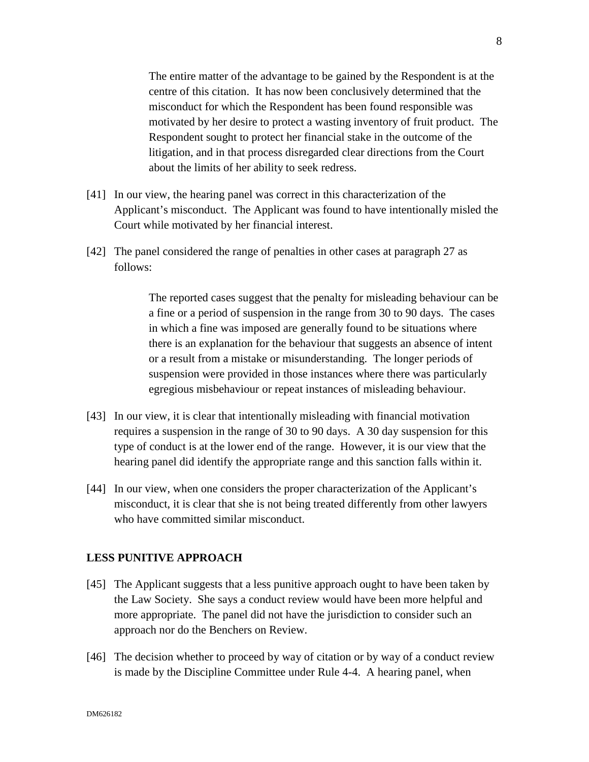The entire matter of the advantage to be gained by the Respondent is at the centre of this citation. It has now been conclusively determined that the misconduct for which the Respondent has been found responsible was motivated by her desire to protect a wasting inventory of fruit product. The Respondent sought to protect her financial stake in the outcome of the litigation, and in that process disregarded clear directions from the Court about the limits of her ability to seek redress.

- [41] In our view, the hearing panel was correct in this characterization of the Applicant's misconduct. The Applicant was found to have intentionally misled the Court while motivated by her financial interest.
- [42] The panel considered the range of penalties in other cases at paragraph 27 as follows:

The reported cases suggest that the penalty for misleading behaviour can be a fine or a period of suspension in the range from 30 to 90 days. The cases in which a fine was imposed are generally found to be situations where there is an explanation for the behaviour that suggests an absence of intent or a result from a mistake or misunderstanding. The longer periods of suspension were provided in those instances where there was particularly egregious misbehaviour or repeat instances of misleading behaviour.

- [43] In our view, it is clear that intentionally misleading with financial motivation requires a suspension in the range of 30 to 90 days. A 30 day suspension for this type of conduct is at the lower end of the range. However, it is our view that the hearing panel did identify the appropriate range and this sanction falls within it.
- [44] In our view, when one considers the proper characterization of the Applicant's misconduct, it is clear that she is not being treated differently from other lawyers who have committed similar misconduct.

## **LESS PUNITIVE APPROACH**

- [45] The Applicant suggests that a less punitive approach ought to have been taken by the Law Society. She says a conduct review would have been more helpful and more appropriate. The panel did not have the jurisdiction to consider such an approach nor do the Benchers on Review.
- [46] The decision whether to proceed by way of citation or by way of a conduct review is made by the Discipline Committee under Rule 4-4. A hearing panel, when